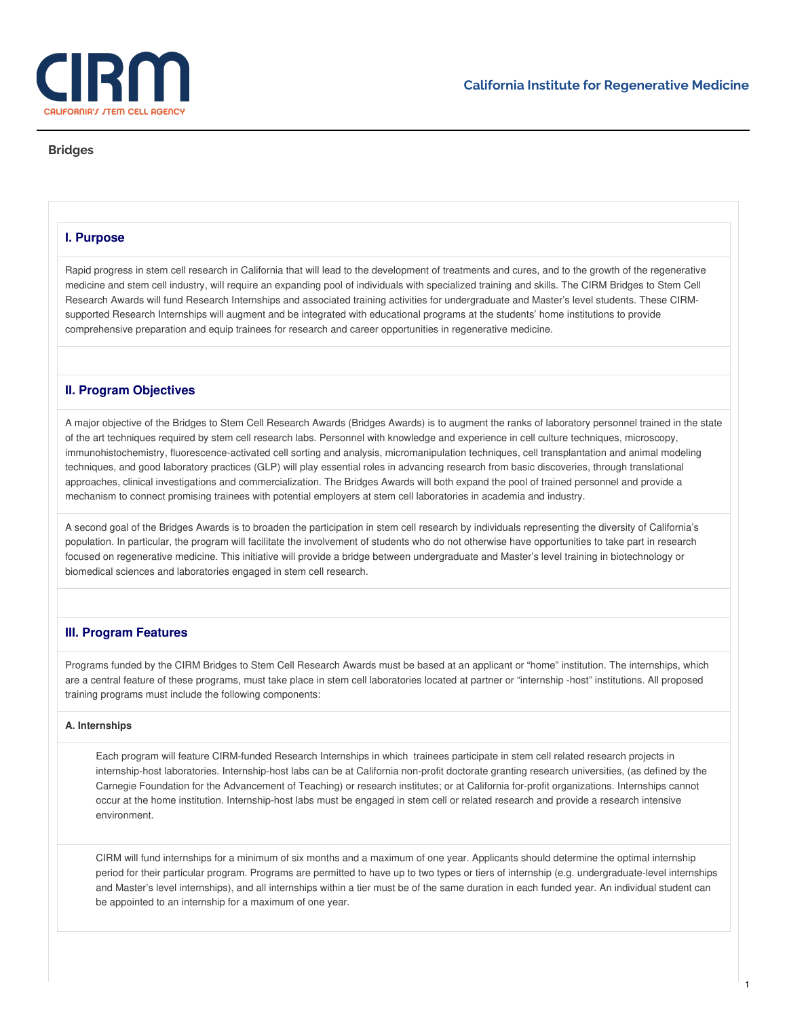

# **Bridges**

# **I. Purpose**

Rapid progress in stem cell research in California that will lead to the development of treatments and cures, and to the growth of the regenerative medicine and stem cell industry, will require an expanding pool of individuals with specialized training and skills. The CIRM Bridges to Stem Cell Research Awards will fund Research Internships and associated training activities for undergraduate and Master's level students. These CIRMsupported Research Internships will augment and be integrated with educational programs at the students' home institutions to provide comprehensive preparation and equip trainees for research and career opportunities in regenerative medicine.

# **II. Program Objectives**

A major objective of the Bridges to Stem Cell Research Awards (Bridges Awards) is to augment the ranks of laboratory personnel trained in the state of the art techniques required by stem cell research labs. Personnel with knowledge and experience in cell culture techniques, microscopy, immunohistochemistry, fluorescence-activated cell sorting and analysis, micromanipulation techniques, cell transplantation and animal modeling techniques, and good laboratory practices (GLP) will play essential roles in advancing research from basic discoveries, through translational approaches, clinical investigations and commercialization. The Bridges Awards will both expand the pool of trained personnel and provide a mechanism to connect promising trainees with potential employers at stem cell laboratories in academia and industry.

A second goal of the Bridges Awards is to broaden the participation in stem cell research by individuals representing the diversity of California's population. In particular, the program will facilitate the involvement of students who do not otherwise have opportunities to take part in research focused on regenerative medicine. This initiative will provide a bridge between undergraduate and Master's level training in biotechnology or biomedical sciences and laboratories engaged in stem cell research.

# **III. Program Features**

Programs funded by the CIRM Bridges to Stem Cell Research Awards must be based at an applicant or "home" institution. The internships, which are a central feature of these programs, must take place in stem cell laboratories located at partner or "internship -host" institutions. All proposed training programs must include the following components:

## **A. Internships**

Each program will feature CIRM-funded Research Internships in which trainees participate in stem cell related research projects in internship-host laboratories. Internship-host labs can be at California non-profit doctorate granting research universities, (as defined by the Carnegie Foundation for the Advancement of Teaching) or research institutes; or at California for-profit organizations. Internships cannot occur at the home institution. Internship-host labs must be engaged in stem cell or related research and provide a research intensive environment.

CIRM will fund internships for a minimum of six months and a maximum of one year. Applicants should determine the optimal internship period for their particular program. Programs are permitted to have up to two types or tiers of internship (e.g. undergraduate-level internships and Master's level internships), and all internships within a tier must be of the same duration in each funded year. An individual student can be appointed to an internship for a maximum of one year.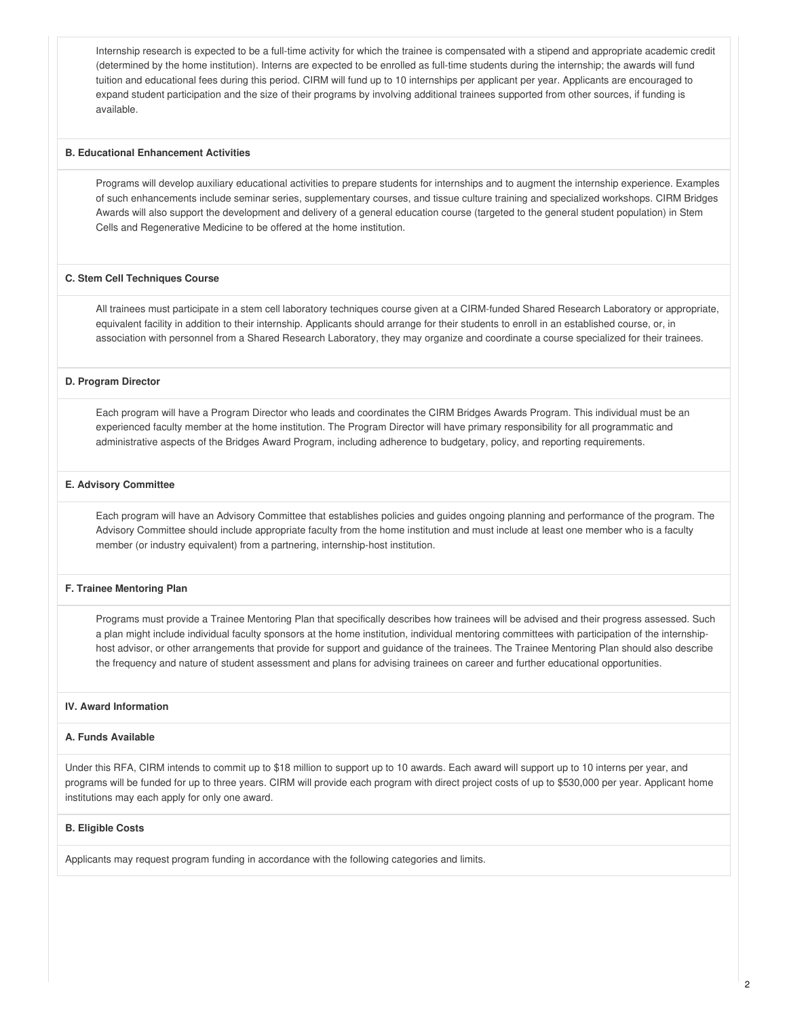Internship research is expected to be a full-time activity for which the trainee is compensated with a stipend and appropriate academic credit (determined by the home institution). Interns are expected to be enrolled as full-time students during the internship; the awards will fund tuition and educational fees during this period. CIRM will fund up to 10 internships per applicant per year. Applicants are encouraged to expand student participation and the size of their programs by involving additional trainees supported from other sources, if funding is available.

#### **B. Educational Enhancement Activities**

Programs will develop auxiliary educational activities to prepare students for internships and to augment the internship experience. Examples of such enhancements include seminar series, supplementary courses, and tissue culture training and specialized workshops. CIRM Bridges Awards will also support the development and delivery of a general education course (targeted to the general student population) in Stem Cells and Regenerative Medicine to be offered at the home institution.

## **C. Stem Cell Techniques Course**

All trainees must participate in a stem cell laboratory techniques course given at a CIRM-funded Shared Research Laboratory or appropriate, equivalent facility in addition to their internship. Applicants should arrange for their students to enroll in an established course, or, in association with personnel from a Shared Research Laboratory, they may organize and coordinate a course specialized for their trainees.

## **D. Program Director**

Each program will have a Program Director who leads and coordinates the CIRM Bridges Awards Program. This individual must be an experienced faculty member at the home institution. The Program Director will have primary responsibility for all programmatic and administrative aspects of the Bridges Award Program, including adherence to budgetary, policy, and reporting requirements.

#### **E. Advisory Committee**

Each program will have an Advisory Committee that establishes policies and guides ongoing planning and performance of the program. The Advisory Committee should include appropriate faculty from the home institution and must include at least one member who is a faculty member (or industry equivalent) from a partnering, internship-host institution.

#### **F. Trainee Mentoring Plan**

Programs must provide a Trainee Mentoring Plan that specifically describes how trainees will be advised and their progress assessed. Such a plan might include individual faculty sponsors at the home institution, individual mentoring committees with participation of the internshiphost advisor, or other arrangements that provide for support and guidance of the trainees. The Trainee Mentoring Plan should also describe the frequency and nature of student assessment and plans for advising trainees on career and further educational opportunities.

# **IV. Award Information**

# **A. Funds Available**

Under this RFA, CIRM intends to commit up to \$18 million to support up to 10 awards. Each award will support up to 10 interns per year, and programs will be funded for up to three years. CIRM will provide each program with direct project costs of up to \$530,000 per year. Applicant home institutions may each apply for only one award.

#### **B. Eligible Costs**

Applicants may request program funding in accordance with the following categories and limits.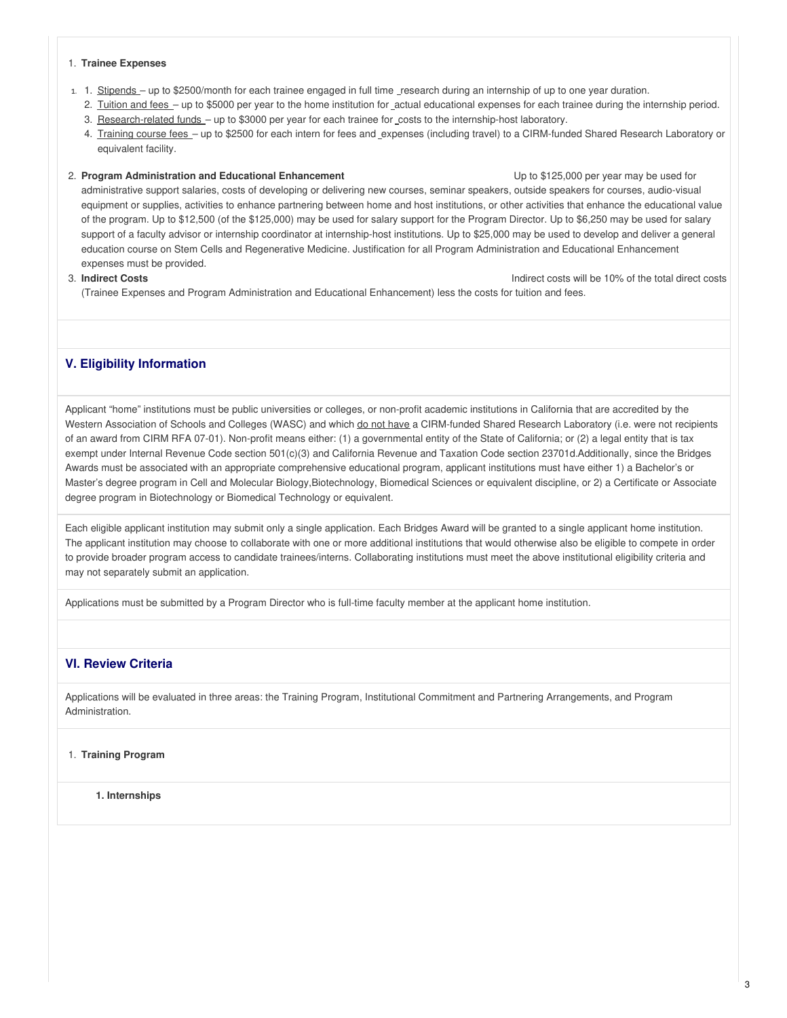#### 1. **Trainee Expenses**

- 1. 1. Stipends up to \$2500/month for each trainee engaged in full time research during an internship of up to one year duration.
	- 2. Tuition and fees up to \$5000 per year to the home institution for actual educational expenses for each trainee during the internship period.
	- 3. Research-related funds up to \$3000 per year for each trainee for costs to the internship-host laboratory.
	- 4. Training course fees up to \$2500 for each intern for fees and expenses (including travel) to a CIRM-funded Shared Research Laboratory or equivalent facility.

## 2. **Program Administration and Educational Enhancement** Up to \$125,000 per year may be used for

administrative support salaries, costs of developing or delivering new courses, seminar speakers, outside speakers for courses, audio-visual equipment or supplies, activities to enhance partnering between home and host institutions, or other activities that enhance the educational value of the program. Up to \$12,500 (of the \$125,000) may be used for salary support for the Program Director. Up to \$6,250 may be used for salary support of a faculty advisor or internship coordinator at internship-host institutions. Up to \$25,000 may be used to develop and deliver a general education course on Stem Cells and Regenerative Medicine. Justification for all Program Administration and Educational Enhancement expenses must be provided.

3. **Indirect Costs** Indirect costs will be 10% of the total direct costs

(Trainee Expenses and Program Administration and Educational Enhancement) less the costs for tuition and fees.

# **V. Eligibility Information**

Applicant "home" institutions must be public universities or colleges, or non-profit academic institutions in California that are accredited by the Western Association of Schools and Colleges (WASC) and which do not have a CIRM-funded Shared Research Laboratory (i.e. were not recipients of an award from CIRM RFA 07-01). Non-profit means either: (1) a governmental entity of the State of California; or (2) a legal entity that is tax exempt under Internal Revenue Code section 501(c)(3) and California Revenue and Taxation Code section 23701d.Additionally, since the Bridges Awards must be associated with an appropriate comprehensive educational program, applicant institutions must have either 1) a Bachelor's or Master's degree program in Cell and Molecular Biology,Biotechnology, Biomedical Sciences or equivalent discipline, or 2) a Certificate or Associate degree program in Biotechnology or Biomedical Technology or equivalent.

Each eligible applicant institution may submit only a single application. Each Bridges Award will be granted to a single applicant home institution. The applicant institution may choose to collaborate with one or more additional institutions that would otherwise also be eligible to compete in order to provide broader program access to candidate trainees/interns. Collaborating institutions must meet the above institutional eligibility criteria and may not separately submit an application.

Applications must be submitted by a Program Director who is full-time faculty member at the applicant home institution.

# **VI. Review Criteria**

Applications will be evaluated in three areas: the Training Program, Institutional Commitment and Partnering Arrangements, and Program Administration.

# 1. **Training Program**

**1. Internships**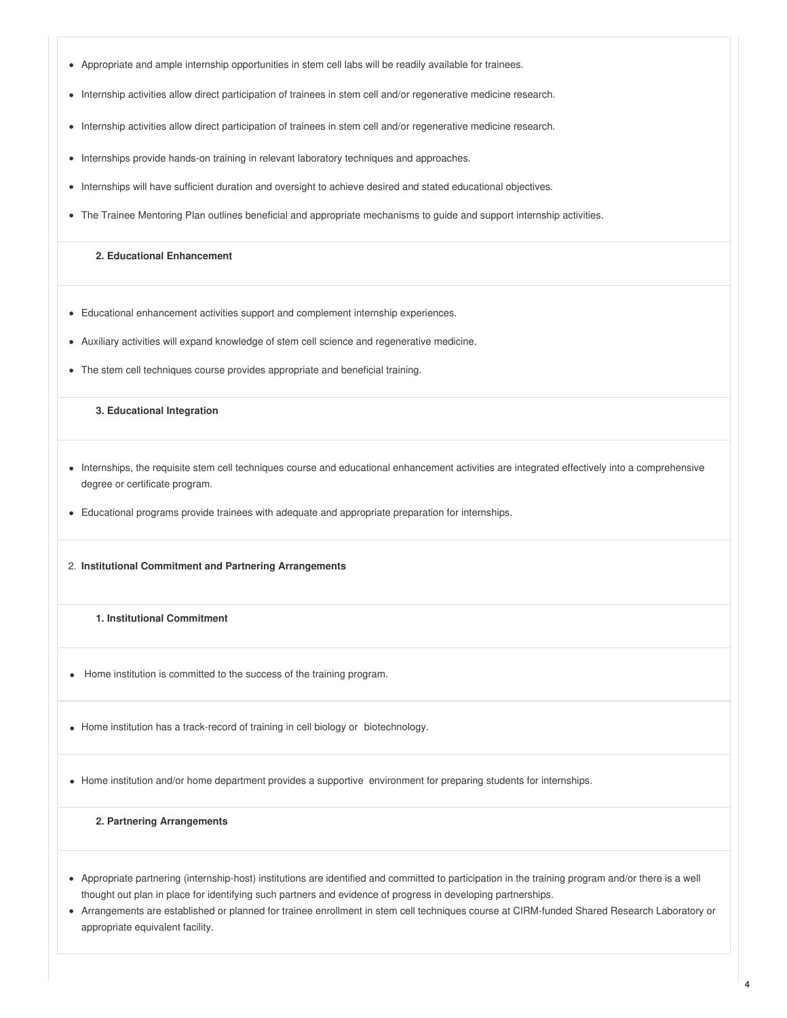- Appropriate and ample internship opportunities in stem cell labs will be readily available for trainees.
- Internship activities allow direct participation of trainees in stem cell and/or regenerative medicine research.
- Internship activities allow direct participation of trainees in stem cell and/or regenerative medicine research.
- Internships provide hands-on training in relevant laboratory techniques and approaches.
- Internships will have sufficient duration and oversight to achieve desired and stated educational objectives.
- The Trainee Mentoring Plan outlines beneficial and appropriate mechanisms to guide and support internship activities.

# **2. Educational Enhancement**

- Educational enhancement activities support and complement internship experiences.
- Auxiliary activities will expand knowledge of stem cell science and regenerative medicine.
- The stem cell techniques course provides appropriate and beneficial training.

# **3. Educational Integration**

- Internships, the requisite stem cell techniques course and educational enhancement activities are integrated effectively into a comprehensive degree or certificate program.
- Educational programs provide trainees with adequate and appropriate preparation for internships.
- 2. **Institutional Commitment and Partnering Arrangements**

## **1. Institutional Commitment**

- Home institution is committed to the success of the training program.
- Home institution has a track-record of training in cell biology or biotechnology.

• Home institution and/or home department provides a supportive environment for preparing students for internships.

## **2. Partnering Arrangements**

- Appropriate partnering (internship-host) institutions are identified and committed to participation in the training program and/or there is a well thought out plan in place for identifying such partners and evidence of progress in developing partnerships.
- Arrangements are established or planned for trainee enrollment in stem cell techniques course at CIRM-funded Shared Research Laboratory or appropriate equivalent facility.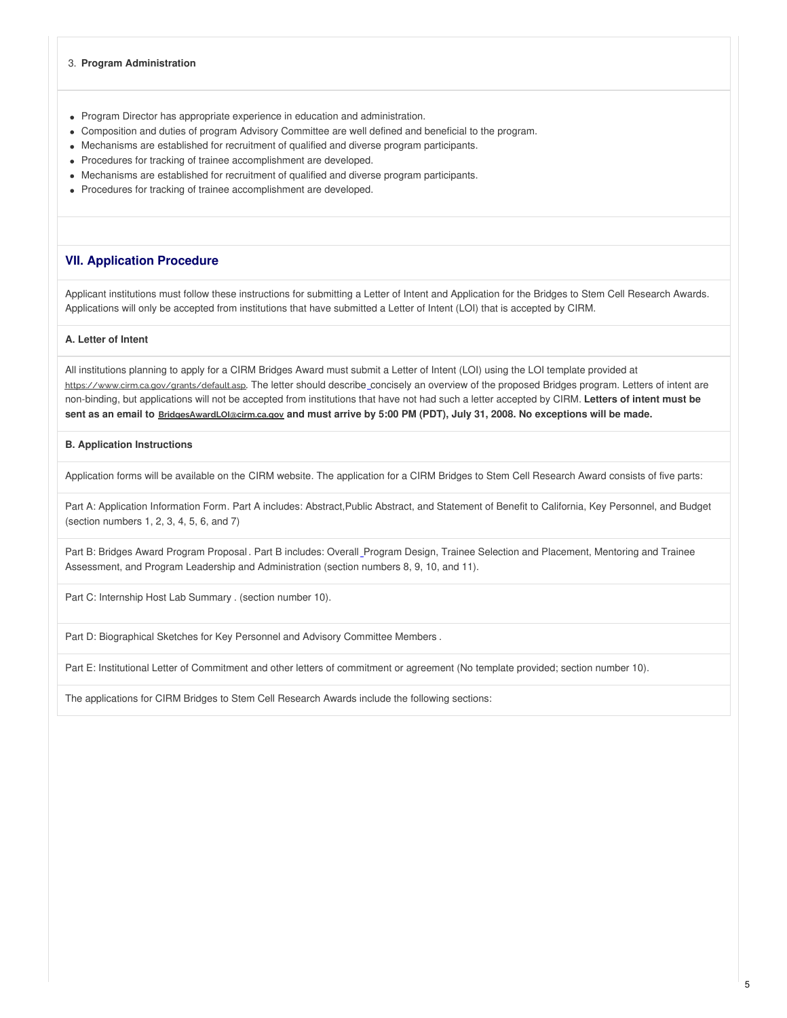#### 3. **Program Administration**

- Program Director has appropriate experience in education and administration.
- Composition and duties of program Advisory Committee are well defined and beneficial to the program.
- Mechanisms are established for recruitment of qualified and diverse program participants.
- Procedures for tracking of trainee accomplishment are developed.
- Mechanisms are established for recruitment of qualified and diverse program participants.
- Procedures for tracking of trainee accomplishment are developed.

# **VII. Application Procedure**

Applicant institutions must follow these instructions for submitting a Letter of Intent and Application for the Bridges to Stem Cell Research Awards. Applications will only be accepted from institutions that have submitted a Letter of Intent (LOI) that is accepted by CIRM.

## **A. Letter of Intent**

All institutions planning to apply for a CIRM Bridges Award must submit a Letter of Intent (LOI) using the LOI template provided at <https://www.cirm.ca.gov/grants/default.asp>. The letter should describe\_concisely an overview of the proposed Bridges program. Letters of intent are non-binding, but applications will not be accepted from institutions that have not had such a letter accepted by CIRM. **Letters of intent must be** sent as an email to **BridgesAwardLOl@cirm.ca.gov** and must arrive by 5:00 PM (PDT), July 31, 2008. No exceptions will be made.

# **B. Application Instructions**

Application forms will be available on the CIRM [website](https://www.cirm.ca.gov/researchers/funding-opportunities). The application for a CIRM Bridges to Stem Cell Research Award consists of five parts:

Part A: Application Information Form. Part A includes: Abstract,Public Abstract, and Statement of Benefit to California, Key Personnel, and Budget (section numbers 1, 2, 3, 4, 5, 6, and 7)

Part B: Bridges Award Program Proposal . Part B includes: Overall Program Design, Trainee Selection and Placement, Mentoring and Trainee Assessment, and Program Leadership and Administration (section numbers 8, 9, 10, and 11).

Part C: Internship Host Lab Summary . (section number 10).

Part D: Biographical Sketches for Key Personnel and Advisory Committee Members .

Part E: Institutional Letter of Commitment and other letters of commitment or agreement (No template provided; section number 10).

The applications for CIRM Bridges to Stem Cell Research Awards include the following sections: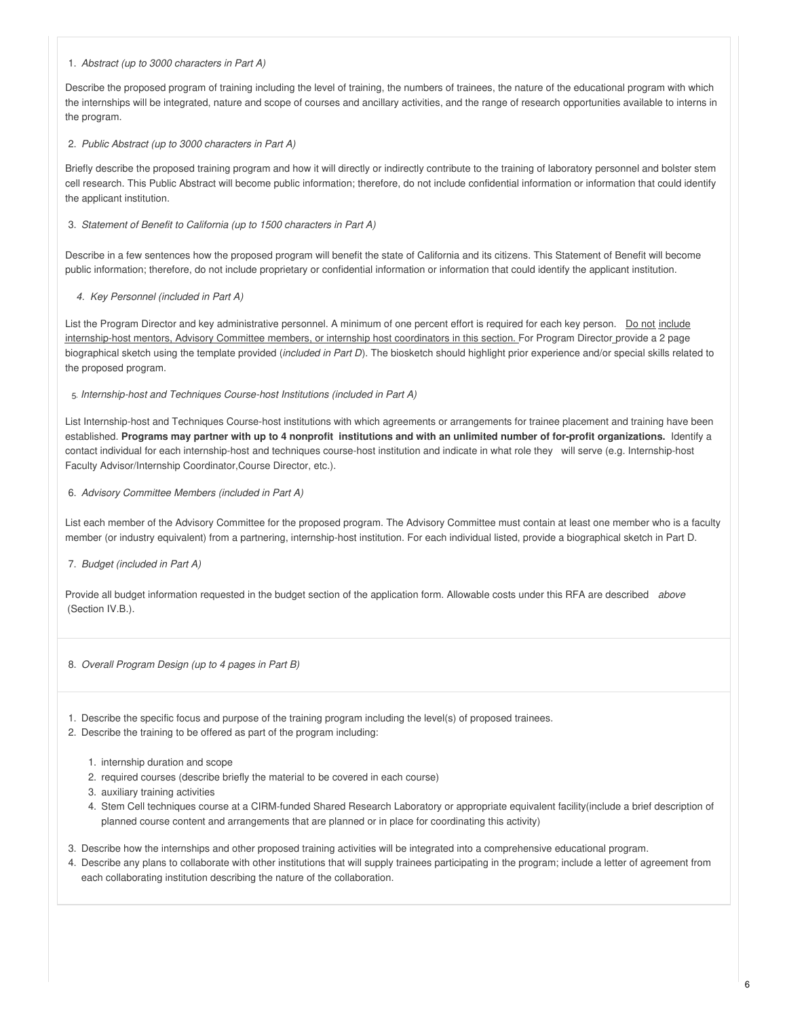## 1. *Abstract (up to 3000 characters in Part A)*

Describe the proposed program of training including the level of training, the numbers of trainees, the nature of the educational program with which the internships will be integrated, nature and scope of courses and ancillary activities, and the range of research opportunities available to interns in the program.

## 2. *Public Abstract (up to 3000 characters in Part A)*

Briefly describe the proposed training program and how it will directly or indirectly contribute to the training of laboratory personnel and bolster stem cell research. This Public Abstract will become public information; therefore, do not include confidential information or information that could identify the applicant institution.

# 3. *Statement of Benefit to California (up to 1500 characters in Part A)*

Describe in a few sentences how the proposed program will benefit the state of California and its citizens. This Statement of Benefit will become public information; therefore, do not include proprietary or confidential information or information that could identify the applicant institution.

# *4. Key Personnel (included in Part A)*

List the Program Director and key administrative personnel. A minimum of one percent effort is required for each key person. Do not include internship-host mentors, Advisory Committee members, or internship host coordinators in this section. For Program Director provide a 2 page biographical sketch using the template provided (*included in Part D*). The biosketch should highlight prior experience and/or special skills related to the proposed program.

## 5. *Internship-host and Techniques Course-host Institutions (included in Part A)*

List Internship-host and Techniques Course-host institutions with which agreements or arrangements for trainee placement and training have been established. Programs may partner with up to 4 nonprofit institutions and with an unlimited number of for-profit organizations. Identify a contact individual for each internship-host and techniques course-host institution and indicate in what role they will serve (e.g. Internship-host Faculty Advisor/Internship Coordinator,Course Director, etc.).

# 6. *Advisory Committee Members (included in Part A)*

List each member of the Advisory Committee for the proposed program. The Advisory Committee must contain at least one member who is a faculty member (or industry equivalent) from a partnering, internship-host institution. For each individual listed, provide a biographical sketch in Part D.

# 7. *Budget (included in Part A)*

Provide all budget information requested in the budget section of the application form. Allowable costs under this RFA are described *above* (Section IV.B.).

## 8. *Overall Program Design (up to 4 pages in Part B)*

1. Describe the specific focus and purpose of the training program including the level(s) of proposed trainees.

2. Describe the training to be offered as part of the program including:

- 1. internship duration and scope
- 2. required courses (describe briefly the material to be covered in each course)
- 3. auxiliary training activities
- 4. Stem Cell techniques course at a CIRM-funded Shared Research Laboratory or appropriate equivalent facility(include a brief description of planned course content and arrangements that are planned or in place for coordinating this activity)
- 3. Describe how the internships and other proposed training activities will be integrated into a comprehensive educational program.
- 4. Describe any plans to collaborate with other institutions that will supply trainees participating in the program; include a letter of agreement from each collaborating institution describing the nature of the collaboration.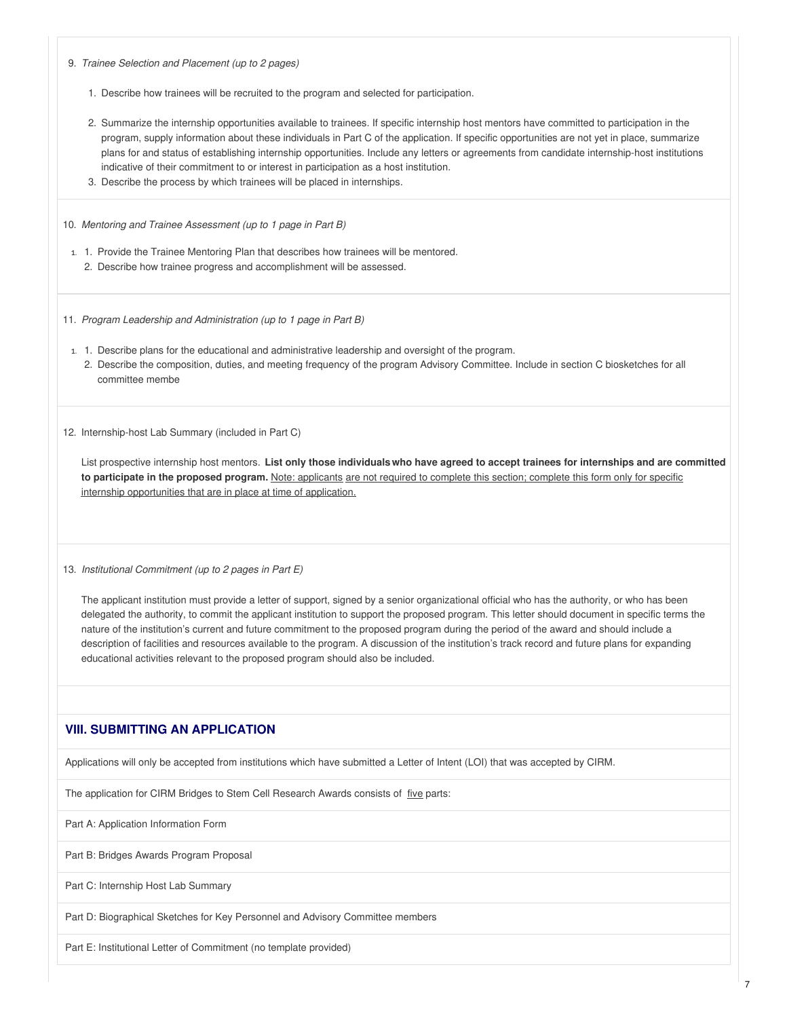9. *Trainee Selection and Placement (up to 2 pages)*

- 1. Describe how trainees will be recruited to the program and selected for participation.
- 2. Summarize the internship opportunities available to trainees. If specific internship host mentors have committed to participation in the program, supply information about these individuals in Part C of the application. If specific opportunities are not yet in place, summarize plans for and status of establishing internship opportunities. Include any letters or agreements from candidate internship-host institutions indicative of their commitment to or interest in participation as a host institution.
- 3. Describe the process by which trainees will be placed in internships.

10. *Mentoring and Trainee Assessment (up to 1 page in Part B)*

1. 1. Provide the Trainee Mentoring Plan that describes how trainees will be mentored. 2. Describe how trainee progress and accomplishment will be assessed.

11. *Program Leadership and Administration (up to 1 page in Part B)*

- 1. 1. Describe plans for the educational and administrative leadership and oversight of the program.
	- 2. Describe the composition, duties, and meeting frequency of the program Advisory Committee. Include in section C biosketches for all committee membe

12. Internship-host Lab Summary (included in Part C)

List prospective internship host mentors. List only those individuals who have agreed to accept trainees for internships and are committed **to participate in the proposed program.** Note: applicants are not required to complete this section; complete this form only for specific internship opportunities that are in place at time of application.

13. *Institutional Commitment (up to 2 pages in Part E)*

The applicant institution must provide a letter of support, signed by a senior organizational official who has the authority, or who has been delegated the authority, to commit the applicant institution to support the proposed program. This letter should document in specific terms the nature of the institution's current and future commitment to the proposed program during the period of the award and should include a description of facilities and resources available to the program. A discussion of the institution's track record and future plans for expanding educational activities relevant to the proposed program should also be included.

# **VIII. SUBMITTING AN APPLICATION**

Applications will only be accepted from institutions which have submitted a Letter of Intent (LOI) that was accepted by CIRM.

The application for CIRM Bridges to Stem Cell Research Awards consists of five parts:

Part A: Application Information Form

Part B: Bridges Awards Program Proposal

Part C: Internship Host Lab Summary

Part D: Biographical Sketches for Key Personnel and Advisory Committee members

Part E: Institutional Letter of Commitment (no template provided)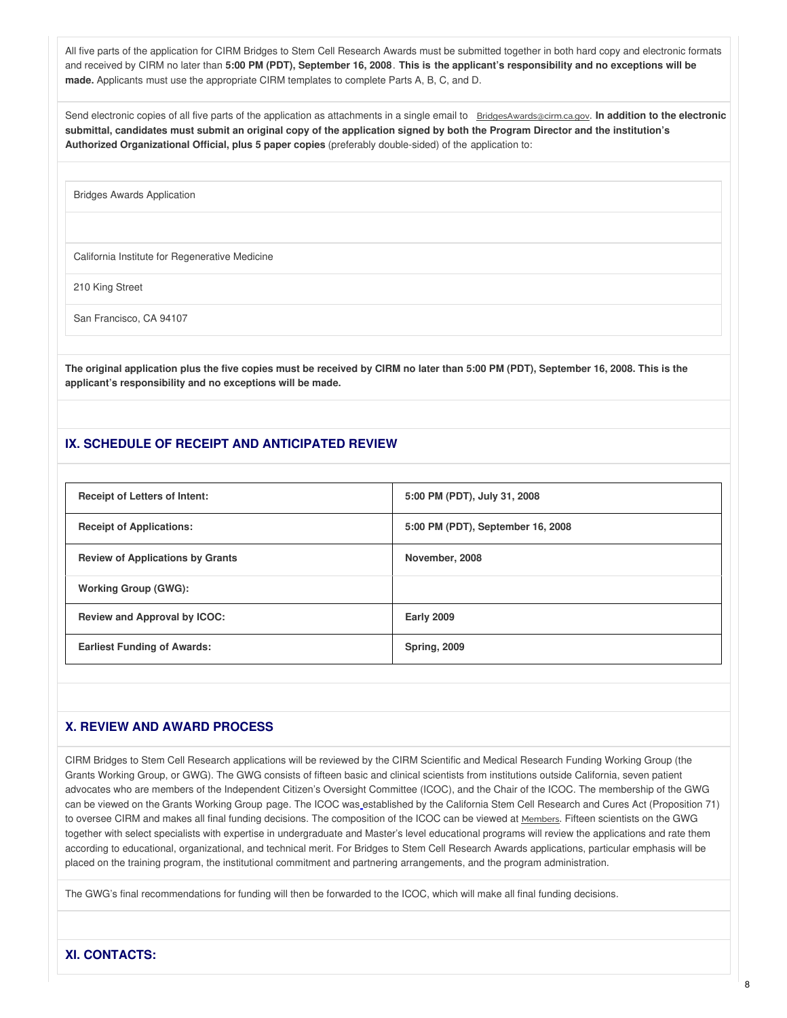All five parts of the application for CIRM Bridges to Stem Cell Research Awards must be submitted together in both hard copy and electronic formats and received by CIRM no later than 5:00 PM (PDT), September 16, 2008. This is the applicant's responsibility and no exceptions will be **made.** Applicants must use the appropriate CIRM templates to complete Parts A, B, C, and D.

Send electronic copies of all five parts of the application as attachments in a single email to [BridgesAwards@cirm.ca.gov](mailto:BridgesAwards@cirm.ca.gov). **In addition to the electronic** submittal, candidates must submit an original copy of the application signed by both the Program Director and the institution's **Authorized Organizational Official, plus 5 paper copies** (preferably double-sided) of the application to:

Bridges Awards Application

California Institute for Regenerative Medicine

210 King Street

San Francisco, CA 94107

The original application plus the five copies must be received by CIRM no later than 5:00 PM (PDT), September 16, 2008. This is the **applicant's responsibility and no exceptions will be made.**

# **IX. SCHEDULE OF RECEIPT AND ANTICIPATED REVIEW**

| <b>Receipt of Letters of Intent:</b>    | 5:00 PM (PDT), July 31, 2008      |
|-----------------------------------------|-----------------------------------|
| <b>Receipt of Applications:</b>         | 5:00 PM (PDT), September 16, 2008 |
| <b>Review of Applications by Grants</b> | November, 2008                    |
| <b>Working Group (GWG):</b>             |                                   |
| <b>Review and Approval by ICOC:</b>     | <b>Early 2009</b>                 |
| <b>Earliest Funding of Awards:</b>      | <b>Spring, 2009</b>               |

# **X. REVIEW AND AWARD PROCESS**

CIRM Bridges to Stem Cell Research applications will be reviewed by the CIRM Scientific and Medical Research Funding Working Group (the Grants Working Group, or GWG). The GWG consists of fifteen basic and clinical scientists from institutions outside California, seven patient advocates who are members of the Independent Citizen's Oversight Committee (ICOC), and the Chair of the ICOC. The membership of the GWG can be viewed on the Grants [Working](https://www.cirm.ca.gov/board-and-meetings/scientific-and-medical-research-funding-working-group) Group page. The ICOC was established by the California Stem Cell Research and Cures Act (Proposition 71) to oversee CIRM and makes all final funding decisions. The composition of the ICOC can be viewed at [Members](https://www.cirm.ca.gov/board-and-meetings/board). Fifteen scientists on the GWG together with select specialists with expertise in undergraduate and Master's level educational programs will review the applications and rate them according to educational, organizational, and technical merit. For Bridges to Stem Cell Research Awards applications, particular emphasis will be placed on the training program, the institutional commitment and partnering arrangements, and the program administration.

The GWG's final recommendations for funding will then be forwarded to the ICOC, which will make all final funding decisions.

# **XI. CONTACTS:**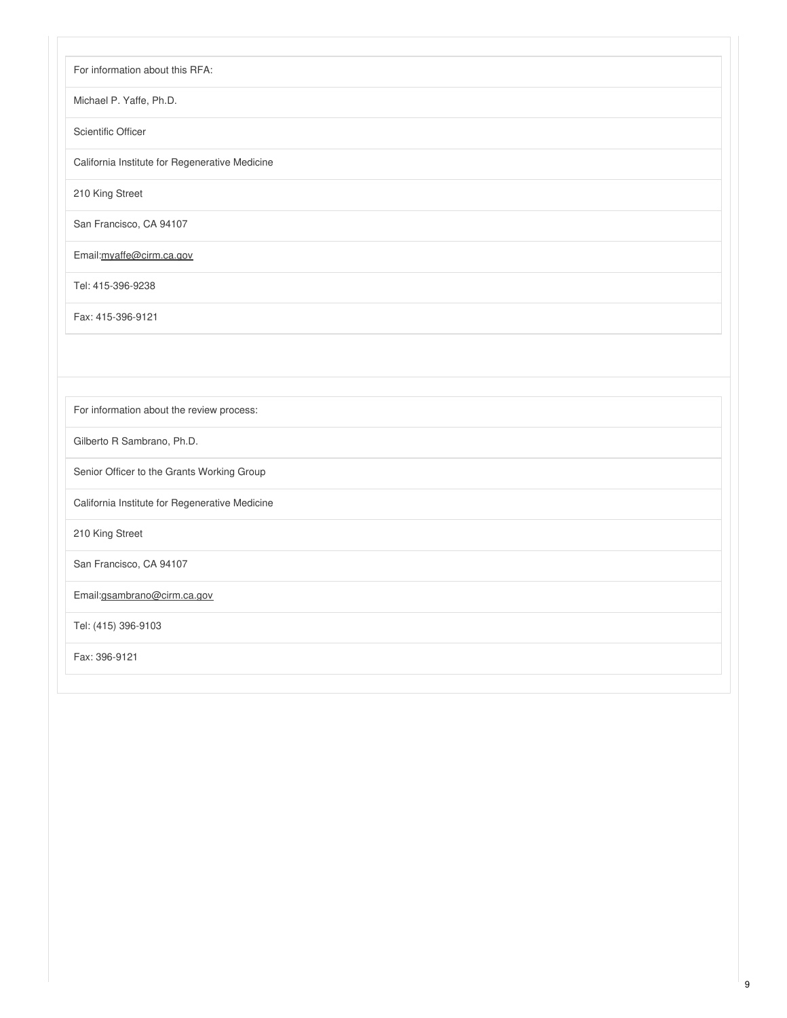For information about this RFA:

Michael P. Yaffe, Ph.D.

Scientific Officer

California Institute for Regenerative Medicine

210 King Street

San Francisco, CA 94107

Email:[myaffe@cirm.ca.gov](mailto:myaffe@cirm.ca.gov)

Tel: 415-396-9238

Fax: 415-396-9121

For information about the review process:

Gilberto R Sambrano, Ph.D.

Senior Officer to the Grants Working Group

California Institute for Regenerative Medicine

210 King Street

San Francisco, CA 94107

Email:[gsambrano@cirm.ca.gov](mailto:gsambrano@cirm.ca.gov)

Tel: (415) 396-9103

Fax: 396-9121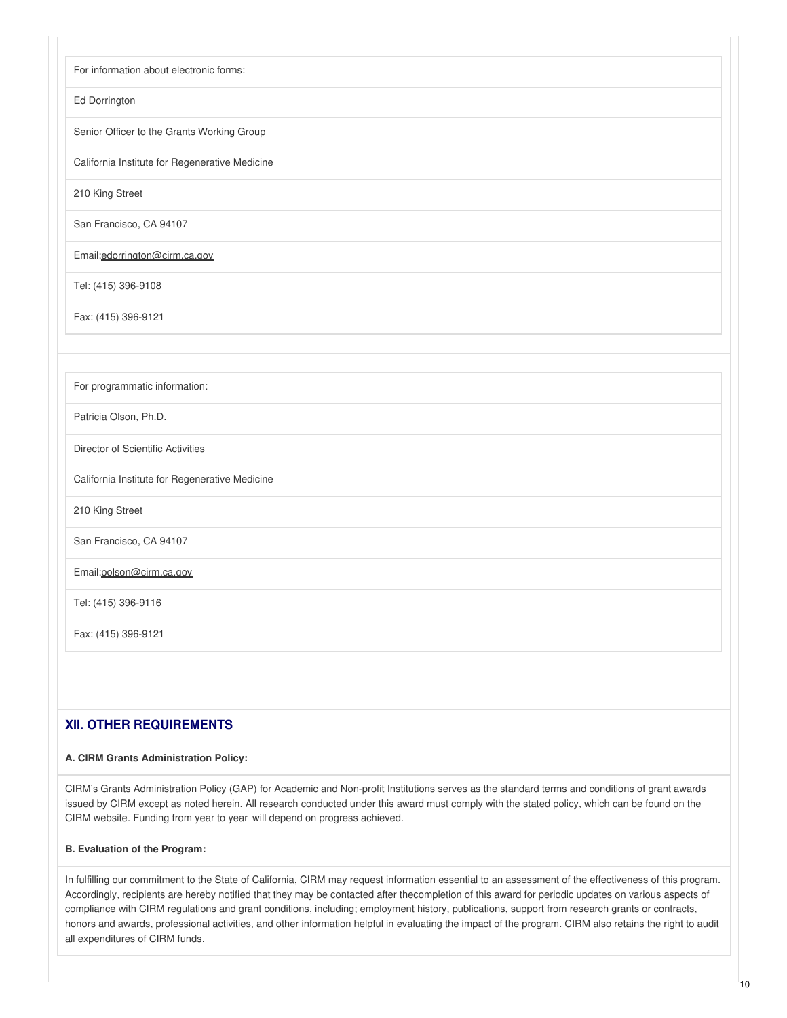| For information about electronic forms:        |
|------------------------------------------------|
| Ed Dorrington                                  |
| Senior Officer to the Grants Working Group     |
| California Institute for Regenerative Medicine |
| 210 King Street                                |
| San Francisco, CA 94107                        |
| Email:edorrington@cirm.ca.gov                  |
| Tel: (415) 396-9108                            |
| Fax: (415) 396-9121                            |
|                                                |
| For programmatic information:                  |
| Patricia Olson, Ph.D.                          |
| Director of Scientific Activities              |
| California Institute for Regenerative Medicine |
| 210 King Street                                |
| San Francisco, CA 94107                        |
| Email:polson@cirm.ca.gov                       |
| Tel: (415) 396-9116                            |
| Fax: (415) 396-9121                            |
|                                                |
|                                                |

# **XII. OTHER REQUIREMENTS**

# **A. CIRM Grants Administration Policy:**

CIRM's Grants Administration Policy (GAP) for Academic and Non-profit Institutions serves as the standard terms and conditions of grant awards issued by CIRM except as noted herein. All research conducted under this award must comply with the stated policy, which can be found on the CIRM [website](https://www.cirm.ca.gov/our-funding/cirm-stem-cell-grant-regulations). Funding from year to year will depend on progress achieved.

# **B. Evaluation of the Program:**

In fulfilling our commitment to the State of California, CIRM may request information essential to an assessment of the effectiveness of this program. Accordingly, recipients are hereby notified that they may be contacted after thecompletion of this award for periodic updates on various aspects of compliance with CIRM regulations and grant conditions, including; employment history, publications, support from research grants or contracts, honors and awards, professional activities, and other information helpful in evaluating the impact of the program. CIRM also retains the right to audit all expenditures of CIRM funds.